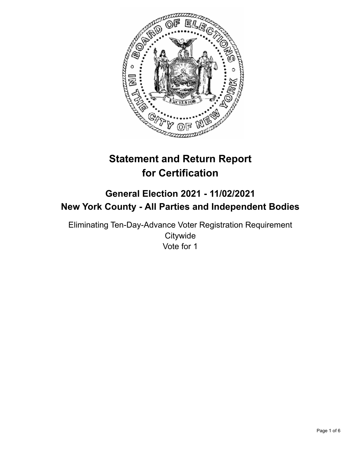

# **Statement and Return Report for Certification**

## **General Election 2021 - 11/02/2021 New York County - All Parties and Independent Bodies**

Eliminating Ten-Day-Advance Voter Registration Requirement **Citywide** Vote for 1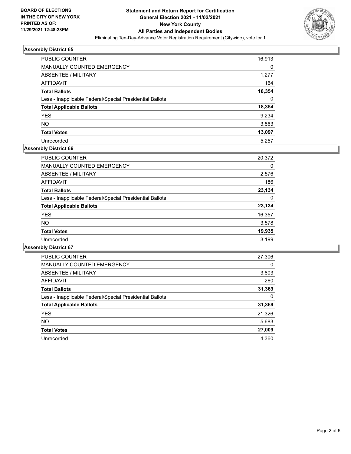

| PUBLIC COUNTER                                           | 16,913 |
|----------------------------------------------------------|--------|
| MANUALLY COUNTED EMERGENCY                               | 0      |
| ABSENTEE / MILITARY                                      | 1.277  |
| AFFIDAVIT                                                | 164    |
| <b>Total Ballots</b>                                     | 18,354 |
| Less - Inapplicable Federal/Special Presidential Ballots | 0      |
| <b>Total Applicable Ballots</b>                          | 18,354 |
| <b>YES</b>                                               | 9.234  |
| NO.                                                      | 3,863  |
| <b>Total Votes</b>                                       | 13,097 |
| Unrecorded                                               | 5.257  |

## **Assembly District 66**

| <b>PUBLIC COUNTER</b>                                    | 20,372 |
|----------------------------------------------------------|--------|
| <b>MANUALLY COUNTED EMERGENCY</b>                        | 0      |
| ABSENTEE / MILITARY                                      | 2,576  |
| AFFIDAVIT                                                | 186    |
| <b>Total Ballots</b>                                     | 23.134 |
| Less - Inapplicable Federal/Special Presidential Ballots | 0      |
| <b>Total Applicable Ballots</b>                          | 23,134 |
| <b>YES</b>                                               | 16,357 |
| <b>NO</b>                                                | 3,578  |
| <b>Total Votes</b>                                       | 19,935 |
| Unrecorded                                               | 3.199  |

| <b>PUBLIC COUNTER</b>                                    | 27,306 |
|----------------------------------------------------------|--------|
| <b>MANUALLY COUNTED EMERGENCY</b>                        | 0      |
| ABSENTEE / MILITARY                                      | 3,803  |
| <b>AFFIDAVIT</b>                                         | 260    |
| <b>Total Ballots</b>                                     | 31,369 |
| Less - Inapplicable Federal/Special Presidential Ballots | 0      |
| <b>Total Applicable Ballots</b>                          | 31,369 |
| <b>YES</b>                                               | 21,326 |
| NO.                                                      | 5,683  |
| <b>Total Votes</b>                                       | 27,009 |
| Unrecorded                                               | 4.360  |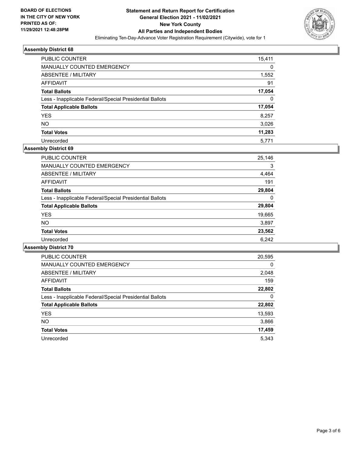

| PUBLIC COUNTER                                           | 15,411   |
|----------------------------------------------------------|----------|
| MANUALLY COUNTED EMERGENCY                               | 0        |
| ABSENTEE / MILITARY                                      | 1,552    |
| AFFIDAVIT                                                | 91       |
| <b>Total Ballots</b>                                     | 17,054   |
| Less - Inapplicable Federal/Special Presidential Ballots | $\Omega$ |
| <b>Total Applicable Ballots</b>                          | 17,054   |
| <b>YES</b>                                               | 8.257    |
| NO.                                                      | 3,026    |
| <b>Total Votes</b>                                       | 11,283   |
| Unrecorded                                               | 5.771    |

## **Assembly District 69**

| PUBLIC COUNTER                                           | 25,146 |
|----------------------------------------------------------|--------|
| <b>MANUALLY COUNTED EMERGENCY</b>                        | 3      |
| ABSENTEE / MILITARY                                      | 4,464  |
| <b>AFFIDAVIT</b>                                         | 191    |
| <b>Total Ballots</b>                                     | 29,804 |
| Less - Inapplicable Federal/Special Presidential Ballots | 0      |
| <b>Total Applicable Ballots</b>                          | 29,804 |
| <b>YES</b>                                               | 19,665 |
| <b>NO</b>                                                | 3,897  |
| <b>Total Votes</b>                                       | 23,562 |
| Unrecorded                                               | 6,242  |

| <b>PUBLIC COUNTER</b>                                    | 20,595   |
|----------------------------------------------------------|----------|
| <b>MANUALLY COUNTED EMERGENCY</b>                        | $\Omega$ |
| ABSENTEE / MILITARY                                      | 2,048    |
| AFFIDAVIT                                                | 159      |
| <b>Total Ballots</b>                                     | 22,802   |
| Less - Inapplicable Federal/Special Presidential Ballots | 0        |
| <b>Total Applicable Ballots</b>                          | 22,802   |
| <b>YES</b>                                               | 13,593   |
| <b>NO</b>                                                | 3,866    |
| <b>Total Votes</b>                                       | 17,459   |
| Unrecorded                                               | 5.343    |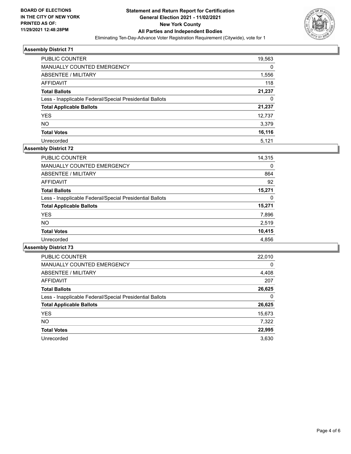

| PUBLIC COUNTER                                           | 19,563 |
|----------------------------------------------------------|--------|
| <b>MANUALLY COUNTED EMERGENCY</b>                        | 0      |
| ABSENTEE / MILITARY                                      | 1,556  |
| AFFIDAVIT                                                | 118    |
| <b>Total Ballots</b>                                     | 21,237 |
| Less - Inapplicable Federal/Special Presidential Ballots | 0      |
| <b>Total Applicable Ballots</b>                          | 21,237 |
| <b>YES</b>                                               | 12,737 |
| NO.                                                      | 3,379  |
| <b>Total Votes</b>                                       | 16,116 |
| Unrecorded                                               | 5,121  |

## **Assembly District 72**

| <b>PUBLIC COUNTER</b>                                    | 14,315 |
|----------------------------------------------------------|--------|
| <b>MANUALLY COUNTED EMERGENCY</b>                        | 0      |
| ABSENTEE / MILITARY                                      | 864    |
| AFFIDAVIT                                                | 92     |
| <b>Total Ballots</b>                                     | 15.271 |
| Less - Inapplicable Federal/Special Presidential Ballots | 0      |
| <b>Total Applicable Ballots</b>                          | 15,271 |
| <b>YES</b>                                               | 7,896  |
| <b>NO</b>                                                | 2,519  |
| <b>Total Votes</b>                                       | 10,415 |
| Unrecorded                                               | 4,856  |
|                                                          |        |

| <b>PUBLIC COUNTER</b>                                    | 22,010   |
|----------------------------------------------------------|----------|
| <b>MANUALLY COUNTED EMERGENCY</b>                        | $\Omega$ |
| ABSENTEE / MILITARY                                      | 4,408    |
| <b>AFFIDAVIT</b>                                         | 207      |
| <b>Total Ballots</b>                                     | 26,625   |
| Less - Inapplicable Federal/Special Presidential Ballots | 0        |
| <b>Total Applicable Ballots</b>                          | 26,625   |
| <b>YES</b>                                               | 15,673   |
| <b>NO</b>                                                | 7,322    |
| <b>Total Votes</b>                                       | 22,995   |
| Unrecorded                                               | 3.630    |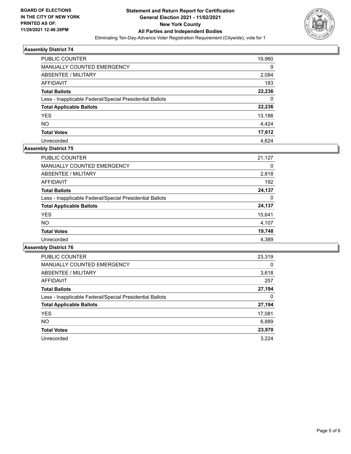

| PUBLIC COUNTER                                           | 19,960 |
|----------------------------------------------------------|--------|
| <b>MANUALLY COUNTED EMERGENCY</b>                        | 9      |
| ABSENTEE / MILITARY                                      | 2,084  |
| AFFIDAVIT                                                | 183    |
| <b>Total Ballots</b>                                     | 22,236 |
| Less - Inapplicable Federal/Special Presidential Ballots | 0      |
| <b>Total Applicable Ballots</b>                          | 22,236 |
| <b>YES</b>                                               | 13,188 |
| <b>NO</b>                                                | 4,424  |
| <b>Total Votes</b>                                       | 17,612 |
| Unrecorded                                               | 4.624  |

## **Assembly District 75**

| <b>PUBLIC COUNTER</b>                                    | 21,127 |
|----------------------------------------------------------|--------|
| <b>MANUALLY COUNTED EMERGENCY</b>                        | 0      |
| ABSENTEE / MILITARY                                      | 2,818  |
| AFFIDAVIT                                                | 192    |
| <b>Total Ballots</b>                                     | 24,137 |
| Less - Inapplicable Federal/Special Presidential Ballots | 0      |
| <b>Total Applicable Ballots</b>                          | 24,137 |
| <b>YES</b>                                               | 15,641 |
| NO.                                                      | 4,107  |
| <b>Total Votes</b>                                       | 19,748 |
| Unrecorded                                               | 4,389  |

| <b>PUBLIC COUNTER</b>                                    | 23,319 |
|----------------------------------------------------------|--------|
| MANUALLY COUNTED EMERGENCY                               | 0      |
| ABSENTEE / MILITARY                                      | 3,618  |
| AFFIDAVIT                                                | 257    |
| <b>Total Ballots</b>                                     | 27,194 |
| Less - Inapplicable Federal/Special Presidential Ballots | 0      |
| <b>Total Applicable Ballots</b>                          | 27,194 |
| <b>YES</b>                                               | 17,081 |
| <b>NO</b>                                                | 6,889  |
| <b>Total Votes</b>                                       | 23,970 |
| Unrecorded                                               | 3.224  |